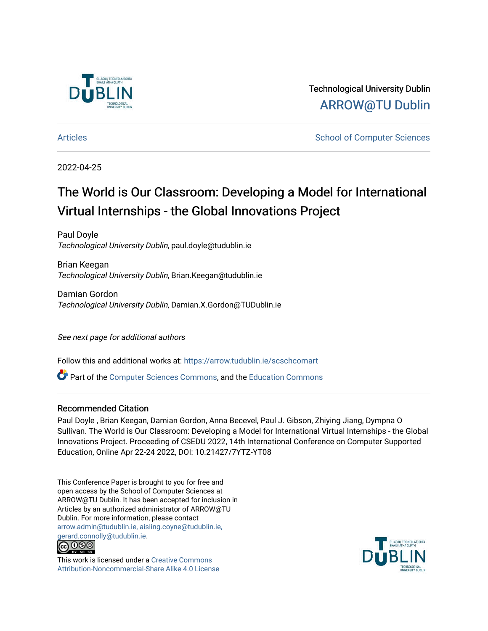

Technological University Dublin [ARROW@TU Dublin](https://arrow.tudublin.ie/) 

[Articles](https://arrow.tudublin.ie/scschcomart) **School of Computer Sciences** School of Computer Sciences

# 2022-04-25

# The World is Our Classroom: Developing a Model for International Virtual Internships - the Global Innovations Project

Paul Doyle Technological University Dublin, paul.doyle@tudublin.ie

Brian Keegan Technological University Dublin, Brian.Keegan@tudublin.ie

Damian Gordon Technological University Dublin, Damian.X.Gordon@TUDublin.ie

See next page for additional authors

Follow this and additional works at: [https://arrow.tudublin.ie/scschcomart](https://arrow.tudublin.ie/scschcomart?utm_source=arrow.tudublin.ie%2Fscschcomart%2F152&utm_medium=PDF&utm_campaign=PDFCoverPages)

Part of the [Computer Sciences Commons](http://network.bepress.com/hgg/discipline/142?utm_source=arrow.tudublin.ie%2Fscschcomart%2F152&utm_medium=PDF&utm_campaign=PDFCoverPages), and the [Education Commons](http://network.bepress.com/hgg/discipline/784?utm_source=arrow.tudublin.ie%2Fscschcomart%2F152&utm_medium=PDF&utm_campaign=PDFCoverPages)

# Recommended Citation

Paul Doyle , Brian Keegan, Damian Gordon, Anna Becevel, Paul J. Gibson, Zhiying Jiang, Dympna O Sullivan. The World is Our Classroom: Developing a Model for International Virtual Internships - the Global Innovations Project. Proceeding of CSEDU 2022, 14th International Conference on Computer Supported Education, Online Apr 22-24 2022, DOI: 10.21427/7YTZ-YT08

This Conference Paper is brought to you for free and open access by the School of Computer Sciences at ARROW@TU Dublin. It has been accepted for inclusion in Articles by an authorized administrator of ARROW@TU Dublin. For more information, please contact [arrow.admin@tudublin.ie, aisling.coyne@tudublin.ie,](mailto:arrow.admin@tudublin.ie,%20aisling.coyne@tudublin.ie,%20gerard.connolly@tudublin.ie)  [gerard.connolly@tudublin.ie](mailto:arrow.admin@tudublin.ie,%20aisling.coyne@tudublin.ie,%20gerard.connolly@tudublin.ie).



This work is licensed under a [Creative Commons](http://creativecommons.org/licenses/by-nc-sa/4.0/) [Attribution-Noncommercial-Share Alike 4.0 License](http://creativecommons.org/licenses/by-nc-sa/4.0/)

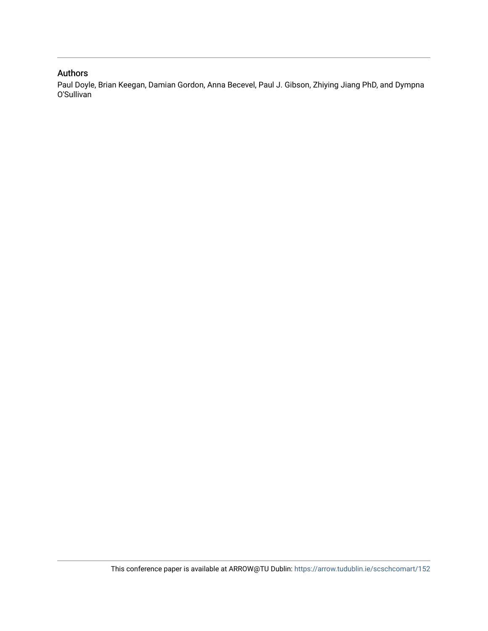# Authors

Paul Doyle, Brian Keegan, Damian Gordon, Anna Becevel, Paul J. Gibson, Zhiying Jiang PhD, and Dympna O'Sullivan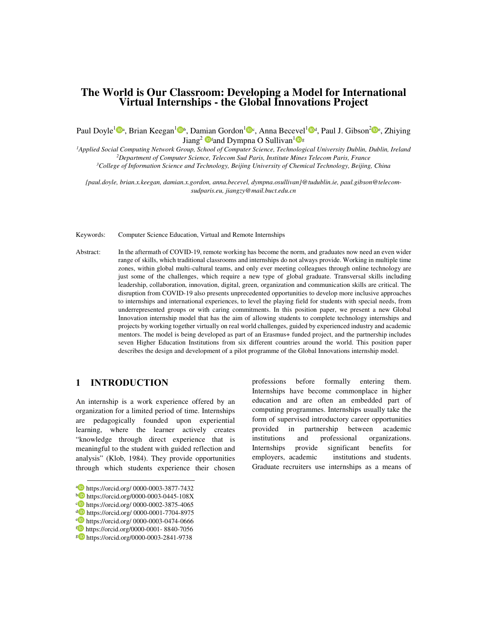# **The World is Our Classroom: Developing a Model for International Virtual Internships - the Global Innovations Project**

Paul Doyle<sup>1</sup> <sup>Da</sup>, Brian Keegan<sup>1</sup> <sup>D</sup>b, Damian Gordon<sup>1</sup> <sup>Dc</sup>, Anna Becevel<sup>1</sup> <sup>Dd</sup>, Paul J. Gibson<sup>2</sup> De, Zhiying Jiang<sup>2</sup> **D**fand Dympna O Sullivan<sup>1</sup> Dg

*<sup>1</sup>Applied Social Computing Network Group, School of Computer Science, Technological University Dublin, Dublin, Ireland <sup>2</sup>Department of Computer Science, Telecom Sud Paris, Institute Mines Telecom Paris, France* 

*<sup>3</sup>College of Information Science and Technology, Beijing University of Chemical Technology, Beijing, China* 

*{paul.doyle, brian.x.keegan, damian.x.gordon, anna.becevel, dympna.osullivan}@tudublin.ie, paul.gibson@telecomsudparis.eu, jiangzy@mail.buct.edu.cn* 

Keywords: Computer Science Education, Virtual and Remote Internships

Abstract: In the aftermath of COVID-19, remote working has become the norm, and graduates now need an even wider range of skills, which traditional classrooms and internships do not always provide. Working in multiple time zones, within global multi-cultural teams, and only ever meeting colleagues through online technology are just some of the challenges, which require a new type of global graduate. Transversal skills including leadership, collaboration, innovation, digital, green, organization and communication skills are critical. The disruption from COVID-19 also presents unprecedented opportunities to develop more inclusive approaches to internships and international experiences, to level the playing field for students with special needs, from underrepresented groups or with caring commitments. In this position paper, we present a new Global Innovation internship model that has the aim of allowing students to complete technology internships and projects by working together virtually on real world challenges, guided by experienced industry and academic mentors. The model is being developed as part of an Erasmus+ funded project, and the partnership includes seven Higher Education Institutions from six different countries around the world. This position paper describes the design and development of a pilot programme of the Global Innovations internship model.

> professions before formally entering them. Internships have become commonplace in higher education and are often an embedded part of computing programmes. Internships usually take the form of supervised introductory career opportunities provided in partnership between academic institutions and professional organizations. Internships provide significant benefits for employers, academic institutions and students. Graduate recruiters use internships as a means of

# 1 INTRODUCTION

An internship is a work experience offered by an organization for a limited period of time. Internships are pedagogically founded upon experiential learning, where the learner actively creates "knowledge through direct experience that is meaningful to the student with guided reflection and analysis" (Klob, 1984). They provide opportunities through which students experience their chosen

 $\overline{a}$ 

a https://orcid.org/ 0000-0003-3877-7432

**b** https://orcid.org/0000-0003-0445-108X

c**D** https://orcid.org/ 0000-0002-3875-4065

d https://orcid.org/ 0000-0001-7704-8975

e https://orcid.org/ 0000-0003-0474-0666

f https://orcid.org/0000-0001- 8840-7056 g https://orcid.org/0000-0003-2841-9738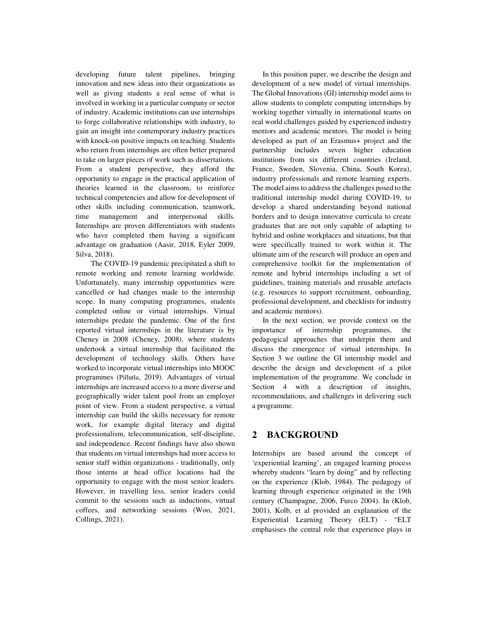developing future talent pipelines, bringing innovation and new ideas into their organizations as well as giving students a real sense of what is involved in working in a particular company or sector of industry. Academic institutions can use internships to forge collaborative relationships with industry, to gain an insight into contemporary industry practices with knock-on positive impacts on teaching. Students who return from internships are often better prepared to take on larger pieces of work such as dissertations. From a student perspective, they afford the opportunity to engage in the practical application of theories learned in the classroom, to reinforce technical competencies and allow for development of other skills including communication, teamwork, time management and interpersonal skills. Internships are proven differentiators with students who have completed them having a significant advantage on graduation (Aasir, 2018, Eyler 2009, Silva, 2018).

 The COVID-19 pandemic precipitated a shift to remote working and remote learning worldwide. Unfortunately, many internship opportunities were cancelled or had changes made to the internship scope. In many computing programmes, students completed online or virtual internships. Virtual internships predate the pandemic. One of the first reported virtual internships in the literature is by Cheney in 2008 (Cheney, 2008), where students undertook a virtual internship that facilitated the development of technology skills. Others have worked to incorporate virtual internships into MOOC programmes (Pillutla, 2019). Advantages of virtual internships are increased access to a more diverse and geographically wider talent pool from an employer point of view. From a student perspective, a virtual internship can build the skills necessary for remote work, for example digital literacy and digital professionalism, telecommunication, self-discipline, and independence. Recent findings have also shown that students on virtual internships had more access to senior staff within organizations - traditionally, only those interns at head office locations had the opportunity to engage with the most senior leaders. However, in travelling less, senior leaders could commit to the sessions such as inductions, virtual coffees, and networking sessions (Woo, 2021, Collings, 2021).

In this position paper, we describe the design and development of a new model of virtual internships. The Global Innovations (GI) internship model aims to allow students to complete computing internships by working together virtually in international teams on real world challenges guided by experienced industry mentors and academic mentors. The model is being developed as part of an Erasmus+ project and the partnership includes seven higher education institutions from six different countries (Ireland, France, Sweden, Slovenia, China, South Korea), industry professionals and remote learning experts. The model aims to address the challenges posed to the traditional internship model during COVID-19, to develop a shared understanding beyond national borders and to design innovative curricula to create graduates that are not only capable of adapting to hybrid and online workplaces and situations, but that were specifically trained to work within it. The ultimate aim of the research will produce an open and comprehensive toolkit for the implementation of remote and hybrid internships including a set of guidelines, training materials and reusable artefacts (e.g. resources to support recruitment, onboarding, professional development, and checklists for industry and academic mentors).

In the next section, we provide context on the importance of internship programmes, the pedagogical approaches that underpin them and discuss the emergence of virtual internships. In Section 3 we outline the GI internship model and describe the design and development of a pilot implementation of the programme. We conclude in Section 4 with a description of insights, recommendations, and challenges in delivering such a programme.

# **2 BACKGROUND**

Internships are based around the concept of 'experiential learning', an engaged learning process whereby students "learn by doing" and by reflecting on the experience (Klob, 1984**)**. The pedagogy of learning through experience originated in the 19th century (Champagne, 2006, Furco 2004). In (Klob, 2001), Kolb, et al provided an explanation of the Experiential Learning Theory (ELT) - "ELT emphasises the central role that experience plays in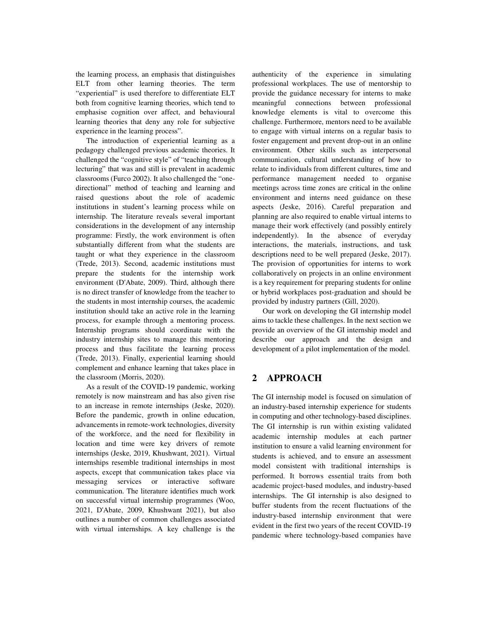the learning process, an emphasis that distinguishes ELT from other learning theories. The term "experiential" is used therefore to differentiate ELT both from cognitive learning theories, which tend to emphasise cognition over affect, and behavioural learning theories that deny any role for subjective experience in the learning process".

The introduction of experiential learning as a pedagogy challenged previous academic theories. It challenged the "cognitive style" of "teaching through lecturing" that was and still is prevalent in academic classrooms (Furco 2002). It also challenged the "onedirectional" method of teaching and learning and raised questions about the role of academic institutions in student's learning process while on internship. The literature reveals several important considerations in the development of any internship programme: Firstly, the work environment is often substantially different from what the students are taught or what they experience in the classroom (Trede, 2013). Second, academic institutions must prepare the students for the internship work environment (D'Abate, 2009). Third, although there is no direct transfer of knowledge from the teacher to the students in most internship courses, the academic institution should take an active role in the learning process, for example through a mentoring process. Internship programs should coordinate with the industry internship sites to manage this mentoring process and thus facilitate the learning process (Trede, 2013). Finally, experiential learning should complement and enhance learning that takes place in the classroom (Morris, 2020).

As a result of the COVID-19 pandemic, working remotely is now mainstream and has also given rise to an increase in remote internships (Jeske, 2020). Before the pandemic, growth in online education, advancements in remote-work technologies, diversity of the workforce, and the need for flexibility in location and time were key drivers of remote internships (Jeske, 2019, Khushwant, 2021). Virtual internships resemble traditional internships in most aspects, except that communication takes place via messaging services or interactive software communication. The literature identifies much work on successful virtual internship programmes (Woo, 2021, D'Abate, 2009, Khushwant 2021), but also outlines a number of common challenges associated with virtual internships. A key challenge is the

authenticity of the experience in simulating professional workplaces. The use of mentorship to provide the guidance necessary for interns to make meaningful connections between professional knowledge elements is vital to overcome this challenge. Furthermore, mentors need to be available to engage with virtual interns on a regular basis to foster engagement and prevent drop-out in an online environment. Other skills such as interpersonal communication, cultural understanding of how to relate to individuals from different cultures, time and performance management needed to organise meetings across time zones are critical in the online environment and interns need guidance on these aspects (Jeske, 2016). Careful preparation and planning are also required to enable virtual interns to manage their work effectively (and possibly entirely independently). In the absence of everyday interactions, the materials, instructions, and task descriptions need to be well prepared (Jeske, 2017). The provision of opportunities for interns to work collaboratively on projects in an online environment is a key requirement for preparing students for online or hybrid workplaces post-graduation and should be provided by industry partners (Gill, 2020).

Our work on developing the GI internship model aims to tackle these challenges. In the next section we provide an overview of the GI internship model and describe our approach and the design and development of a pilot implementation of the model.

# **2 APPROACH**

The GI internship model is focused on simulation of an industry-based internship experience for students in computing and other technology-based disciplines. The GI internship is run within existing validated academic internship modules at each partner institution to ensure a valid learning environment for students is achieved, and to ensure an assessment model consistent with traditional internships is performed. It borrows essential traits from both academic project-based modules, and industry-based internships. The GI internship is also designed to buffer students from the recent fluctuations of the industry-based internship environment that were evident in the first two years of the recent COVID-19 pandemic where technology-based companies have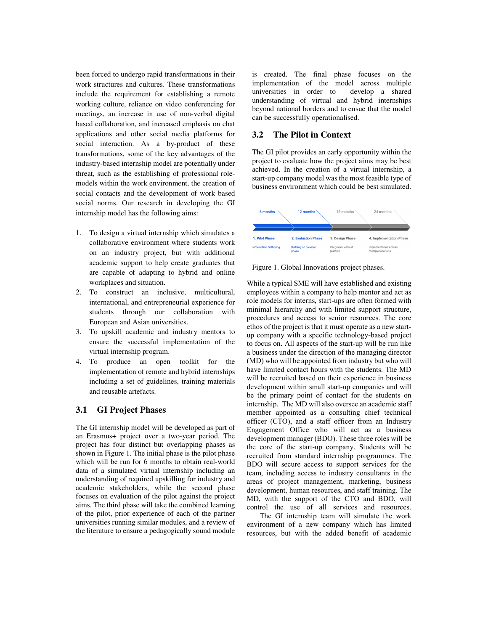been forced to undergo rapid transformations in their work structures and cultures. These transformations include the requirement for establishing a remote working culture, reliance on video conferencing for meetings, an increase in use of non-verbal digital based collaboration, and increased emphasis on chat applications and other social media platforms for social interaction. As a by-product of these transformations, some of the key advantages of the industry-based internship model are potentially under threat, such as the establishing of professional rolemodels within the work environment, the creation of social contacts and the development of work based social norms. Our research in developing the GI internship model has the following aims:

- 1. To design a virtual internship which simulates a collaborative environment where students work on an industry project, but with additional academic support to help create graduates that are capable of adapting to hybrid and online workplaces and situation.
- 2. To construct an inclusive, multicultural, international, and entrepreneurial experience for students through our collaboration with European and Asian universities.
- 3. To upskill academic and industry mentors to ensure the successful implementation of the virtual internship program.
- 4. To produce an open toolkit for the implementation of remote and hybrid internships including a set of guidelines, training materials and reusable artefacts.

#### **3.1 GI Project Phases**

The GI internship model will be developed as part of an Erasmus+ project over a two-year period. The project has four distinct but overlapping phases as shown in Figure 1. The initial phase is the pilot phase which will be run for 6 months to obtain real-world data of a simulated virtual internship including an understanding of required upskilling for industry and academic stakeholders, while the second phase focuses on evaluation of the pilot against the project aims. The third phase will take the combined learning of the pilot, prior experience of each of the partner universities running similar modules, and a review of the literature to ensure a pedagogically sound module is created. The final phase focuses on the implementation of the model across multiple<br>universities in order to develop a shared universities in order to understanding of virtual and hybrid internships beyond national borders and to ensue that the model can be successfully operationalised.

#### **3.2 The Pilot in Context**

The GI pilot provides an early opportunity within the project to evaluate how the project aims may be best achieved. In the creation of a virtual internship, a start-up company model was the most feasible type of business environment which could be best simulated.



Figure 1. Global Innovations project phases.

While a typical SME will have established and existing employees within a company to help mentor and act as role models for interns, start-ups are often formed with minimal hierarchy and with limited support structure, procedures and access to senior resources. The core ethos of the project is that it must operate as a new startup company with a specific technology-based project to focus on. All aspects of the start-up will be run like a business under the direction of the managing director (MD) who will be appointed from industry but who will have limited contact hours with the students. The MD will be recruited based on their experience in business development within small start-up companies and will be the primary point of contact for the students on internship. The MD will also oversee an academic staff member appointed as a consulting chief technical officer (CTO), and a staff officer from an Industry Engagement Office who will act as a business development manager (BDO). These three roles will be the core of the start-up company. Students will be recruited from standard internship programmes. The BDO will secure access to support services for the team, including access to industry consultants in the areas of project management, marketing, business development, human resources, and staff training. The MD, with the support of the CTO and BDO, will control the use of all services and resources.

 The GI internship team will simulate the work environment of a new company which has limited resources, but with the added benefit of academic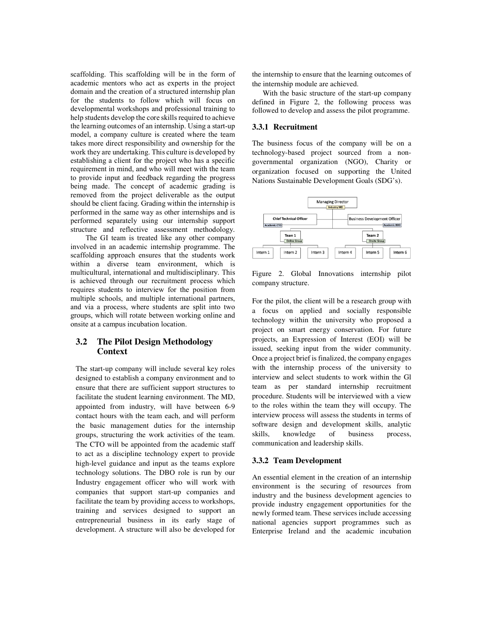scaffolding. This scaffolding will be in the form of academic mentors who act as experts in the project domain and the creation of a structured internship plan for the students to follow which will focus on developmental workshops and professional training to help students develop the core skills required to achieve the learning outcomes of an internship. Using a start-up model, a company culture is created where the team takes more direct responsibility and ownership for the work they are undertaking. This culture is developed by establishing a client for the project who has a specific requirement in mind, and who will meet with the team to provide input and feedback regarding the progress being made. The concept of academic grading is removed from the project deliverable as the output should be client facing. Grading within the internship is performed in the same way as other internships and is performed separately using our internship support structure and reflective assessment methodology.

 The GI team is treated like any other company involved in an academic internship programme. The scaffolding approach ensures that the students work within a diverse team environment, which is multicultural, international and multidisciplinary. This is achieved through our recruitment process which requires students to interview for the position from multiple schools, and multiple international partners, and via a process, where students are split into two groups, which will rotate between working online and onsite at a campus incubation location.

### **3.2 The Pilot Design Methodology Context**

The start-up company will include several key roles designed to establish a company environment and to ensure that there are sufficient support structures to facilitate the student learning environment. The MD, appointed from industry, will have between 6-9 contact hours with the team each, and will perform the basic management duties for the internship groups, structuring the work activities of the team. The CTO will be appointed from the academic staff to act as a discipline technology expert to provide high-level guidance and input as the teams explore technology solutions. The DBO role is run by our Industry engagement officer who will work with companies that support start-up companies and facilitate the team by providing access to workshops, training and services designed to support an entrepreneurial business in its early stage of development. A structure will also be developed for the internship to ensure that the learning outcomes of the internship module are achieved.

With the basic structure of the start-up company defined in Figure 2, the following process was followed to develop and assess the pilot programme.

#### **3.3.1 Recruitment**

The business focus of the company will be on a technology-based project sourced from a nongovernmental organization (NGO), Charity or organization focused on supporting the United Nations Sustainable Development Goals (SDG's).



Figure 2. Global Innovations internship pilot company structure.

For the pilot, the client will be a research group with a focus on applied and socially responsible technology within the university who proposed a project on smart energy conservation. For future projects, an Expression of Interest (EOI) will be issued, seeking input from the wider community. Once a project brief is finalized, the company engages with the internship process of the university to interview and select students to work within the Gl team as per standard internship recruitment procedure. Students will be interviewed with a view to the roles within the team they will occupy. The interview process will assess the students in terms of software design and development skills, analytic skills, knowledge of business process, communication and leadership skills.

#### **3.3.2 Team Development**

An essential element in the creation of an internship environment is the securing of resources from industry and the business development agencies to provide industry engagement opportunities for the newly formed team. These services include accessing national agencies support programmes such as Enterprise Ireland and the academic incubation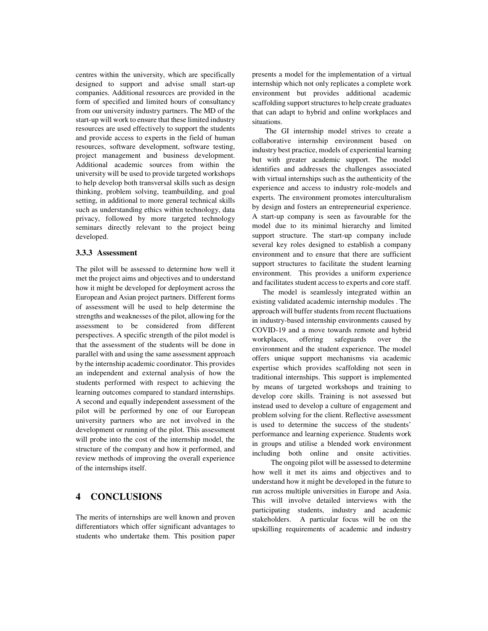centres within the university, which are specifically designed to support and advise small start-up companies. Additional resources are provided in the form of specified and limited hours of consultancy from our university industry partners. The MD of the start-up will work to ensure that these limited industry resources are used effectively to support the students and provide access to experts in the field of human resources, software development, software testing, project management and business development. Additional academic sources from within the university will be used to provide targeted workshops to help develop both transversal skills such as design thinking, problem solving, teambuilding, and goal setting, in additional to more general technical skills such as understanding ethics within technology, data privacy, followed by more targeted technology seminars directly relevant to the project being developed.

#### **3.3.3 Assessment**

The pilot will be assessed to determine how well it met the project aims and objectives and to understand how it might be developed for deployment across the European and Asian project partners. Different forms of assessment will be used to help determine the strengths and weaknesses of the pilot, allowing for the assessment to be considered from different perspectives. A specific strength of the pilot model is that the assessment of the students will be done in parallel with and using the same assessment approach by the internship academic coordinator. This provides an independent and external analysis of how the students performed with respect to achieving the learning outcomes compared to standard internships. A second and equally independent assessment of the pilot will be performed by one of our European university partners who are not involved in the development or running of the pilot. This assessment will probe into the cost of the internship model, the structure of the company and how it performed, and review methods of improving the overall experience of the internships itself.

# **4 CONCLUSIONS**

The merits of internships are well known and proven differentiators which offer significant advantages to students who undertake them. This position paper

presents a model for the implementation of a virtual internship which not only replicates a complete work environment but provides additional academic scaffolding support structures to help create graduates that can adapt to hybrid and online workplaces and situations.

 The GI internship model strives to create a collaborative internship environment based on industry best practice, models of experiential learning but with greater academic support. The model identifies and addresses the challenges associated with virtual internships such as the authenticity of the experience and access to industry role-models and experts. The environment promotes interculturalism by design and fosters an entrepreneurial experience. A start-up company is seen as favourable for the model due to its minimal hierarchy and limited support structure. The start-up company include several key roles designed to establish a company environment and to ensure that there are sufficient support structures to facilitate the student learning environment. This provides a uniform experience and facilitates student access to experts and core staff.

 The model is seamlessly integrated within an existing validated academic internship modules . The approach will buffer students from recent fluctuations in industry-based internship environments caused by COVID-19 and a move towards remote and hybrid workplaces, offering safeguards over the environment and the student experience. The model offers unique support mechanisms via academic expertise which provides scaffolding not seen in traditional internships. This support is implemented by means of targeted workshops and training to develop core skills. Training is not assessed but instead used to develop a culture of engagement and problem solving for the client. Reflective assessment is used to determine the success of the students' performance and learning experience. Students work in groups and utilise a blended work environment including both online and onsite activities.

 The ongoing pilot will be assessed to determine how well it met its aims and objectives and to understand how it might be developed in the future to run across multiple universities in Europe and Asia. This will involve detailed interviews with the participating students, industry and academic stakeholders. A particular focus will be on the upskilling requirements of academic and industry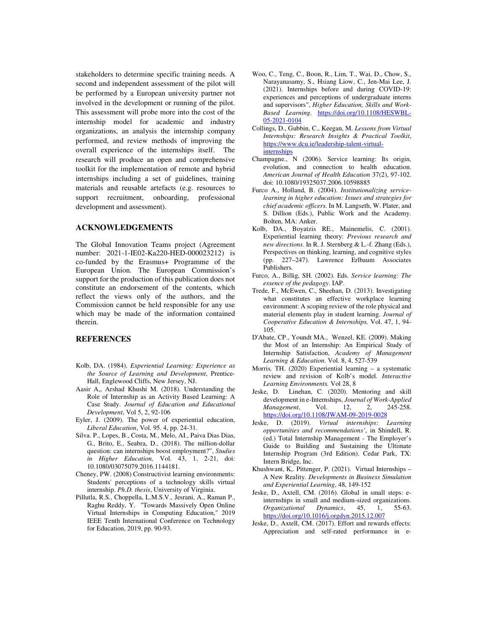stakeholders to determine specific training needs. A second and independent assessment of the pilot will be performed by a European university partner not involved in the development or running of the pilot. This assessment will probe more into the cost of the internship model for academic and industry organizations, an analysis the internship company performed, and review methods of improving the overall experience of the internships itself. The research will produce an open and comprehensive toolkit for the implementation of remote and hybrid internships including a set of guidelines, training materials and reusable artefacts (e.g. resources to support recruitment, onboarding, professional development and assessment).

#### **ACKNOWLEDGEMENTS**

The Global Innovation Teams project (Agreement number: 2021-1-IE02-Ka220-HED-000023212) is co-funded by the Erasmus+ Programme of the European Union. The European Commission's support for the production of this publication does not constitute an endorsement of the contents, which reflect the views only of the authors, and the Commission cannot be held responsible for any use which may be made of the information contained therein.

#### **REFERENCES**

- Kolb, DA. (1984). *Experiential Learning: Experience as the Source of Learning and Development*, Prentice-Hall, Englewood Cliffs, New Jersey, NJ.
- Aasir A,, Arshad Khushi M. (2018). Understanding the Role of Internship as an Activity Based Learning: A Case Study. *Journal of Education and Educational Development*, Vol 5, 2, 92-106
- Eyler, J. (2009). The power of experiential education, *Liberal Education*, Vol. 95. 4, pp. 24-31.
- Silva. P., Lopes, B., Costa, M., Melo, AI., Paiva Dias Dias, G., Brito, E., Seabra, D., (2018). The million-dollar question: can internships boost employment?", *Studies in Higher Education,* Vol. 43, 1, 2-21, doi: 10.1080/03075079.2016.1144181.
- Cheney, PW. (2008) Constructivist learning environments: Students' perceptions of a technology skills virtual internship. *Ph.D. thesis*, University of Virginia.
- Pillutla, R.S., Choppella, L.M.S.V., Jesrani, A., Raman P., Raghu Reddy, Y. "Towards Massively Open Online Virtual Internships in Computing Education," 2019 IEEE Tenth International Conference on Technology for Education, 2019, pp. 90-93.
- Woo, C., Teng, C., Boon, R., Lim, T., Wai, D., Chow, S., Narayanasamy, S., Hsiang Liow, C., Jen-Mai Lee, J. (2021). Internships before and during COVID-19: experiences and perceptions of undergraduate interns and supervisors", *Higher Education, Skills and Work-Based Learning*. https://doi.org/10.1108/HESWBL-05-2021-0104
- Collings, D., Gubbin, C., Keegan, M. *Lessons from Virtual Internships: Research Insights & Practical Toolkit*, https://www.dcu.ie/leadership-talent-virtualinternships
- Champagne., N (2006). Service learning: Its origin, evolution, and connection to health education. *American Journal of Health Education* 37(2), 97-102. doi: 10.1080/19325037.2006.10598885
- Furco A., Holland, B. (2004). *Institutionalizing servicelearning in higher education: Issues and strategies for chief academic officers.* In M. Langseth, W. Plater, and S. Dillion (Eds.), Public Work and the Academy. Bolten, MA: Anker.
- Kolb, DA., Boyatzis RE., Mainemelis, C. (2001). Experiential learning theory: *Previous research and new directions*. In R. J. Sternberg & L.-f. Zhang (Eds.), Perspectives on thinking, learning, and cognitive styles (pp. 227–247). Lawrence Erlbaum Associates Publishers.
- Furco, A., Billig, SH. (2002). Eds. *Service learning: The essence of the pedagogy*. IAP.
- Trede, F., McEwen, C., Sheehan, D. (2013). Investigating what constitutes an effective workplace learning environment: A scoping review of the role physical and material elements play in student learning. *Journal of Cooperative Education & Internships,* Vol. 47, 1, 94- 105.
- D'Abate, CP., Youndt MA., Wenzel, KE. (2009). Making the Most of an Internship: An Empirical Study of Internship Satisfaction, *Academy of Management Learning & Education*. Vol. 8, 4, 527-539
- Morris. TH. (2020) Experiential learning a systematic review and revision of Kolb's model. *Interactive Learning Environments.* Vol 28, 8
- Jeske, D. Linehan, C. (2020). Mentoring and skill development in e-Internships, *Journal of Work-Applied Management*, Vol. 12, 2, https://doi.org/10.1108/JWAM-09-2019-0028
- Jeske, D. (2019). *Virtual internships: Learning opportunities and recommendations'*, in Shindell, R. (ed.) Total Internship Management - The Employer's Guide to Building and Sustaining the Ultimate Internship Program (3rd Edition). Cedar Park, TX: Intern Bridge, Inc.
- Khushwant, K,. Pittenger, P. (2021). Virtual Internships A New Reality. *Developments in Business Simulation and Experiential Learning*, 48, 149-152
- Jeske, D., Axtell, CM. (2016). Global in small steps: einternships in small and medium-sized organizations. *Organizational Dynamics*, 45, 1, 55-63. https://doi.org/10.1016/j.orgdyn.2015.12.007
- Jeske, D., Axtell, CM. (2017). Effort and rewards effects: Appreciation and self-rated performance in e-